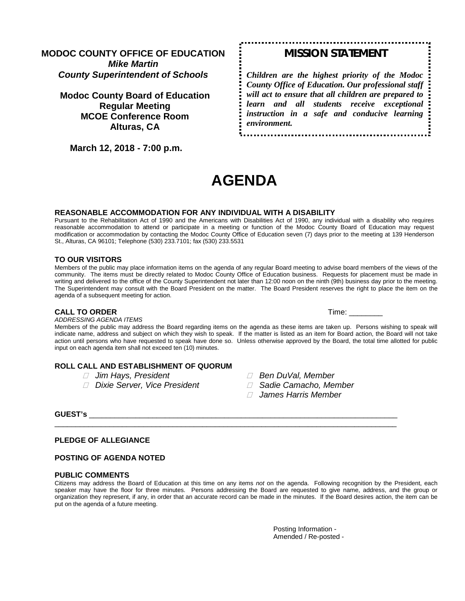# **MODOC COUNTY OFFICE OF EDUCATION** *Mike Martin County Superintendent of Schools*

**Modoc County Board of Education Regular Meeting MCOE Conference Room Alturas, CA**

 **March 12, 2018 - 7:00 p.m.** 

# *MISSION STATEMENT*

*Children are the highest priority of the Modoc County Office of Education. Our professional staff will act to ensure that all children are prepared to learn and all students receive exceptional instruction in a safe and conducive learning environment.*

# **AGENDA**

#### **REASONABLE ACCOMMODATION FOR ANY INDIVIDUAL WITH A DISABILITY**

Pursuant to the Rehabilitation Act of 1990 and the Americans with Disabilities Act of 1990, any individual with a disability who requires reasonable accommodation to attend or participate in a meeting or function of the Modoc County Board of Education may request modification or accommodation by contacting the Modoc County Office of Education seven (7) days prior to the meeting at 139 Henderson St., Alturas, CA 96101; Telephone (530) 233.7101; fax (530) 233.5531

#### **TO OUR VISITORS**

Members of the public may place information items on the agenda of any regular Board meeting to advise board members of the views of the community. The items must be directly related to Modoc County Office of Education business. Requests for placement must be made in writing and delivered to the office of the County Superintendent not later than 12:00 noon on the ninth (9th) business day prior to the meeting. The Superintendent may consult with the Board President on the matter. The Board President reserves the right to place the item on the agenda of a subsequent meeting for action.

#### **CALL TO ORDER Time:**  $\blacksquare$

*ADDRESSING AGENDA ITEMS*

Members of the public may address the Board regarding items on the agenda as these items are taken up. Persons wishing to speak will indicate name, address and subject on which they wish to speak. If the matter is listed as an item for Board action, the Board will not take action until persons who have requested to speak have done so. Unless otherwise approved by the Board, the total time allotted for public input on each agenda item shall not exceed ten (10) minutes.

# **ROLL CALL AND ESTABLISHMENT OF QUORUM**

- 
- *Dixie Server, Vice President Sadie Camacho, Member*
- *Jim Hays, President Ben DuVal, Member*
	-
	- *James Harris Member*

## **GUEST's** \_\_\_\_\_\_\_\_\_\_\_\_\_\_\_\_\_\_\_\_\_\_\_\_\_\_\_\_\_\_\_\_\_\_\_\_\_\_\_\_\_\_\_\_\_\_\_\_\_\_\_\_\_\_\_\_\_\_\_\_\_\_\_\_\_\_\_\_\_\_\_\_\_

#### **PLEDGE OF ALLEGIANCE**

#### **POSTING OF AGENDA NOTED**

#### **PUBLIC COMMENTS**

Citizens may address the Board of Education at this time on any items *not* on the agenda. Following recognition by the President, each speaker may have the floor for three minutes. Persons addressing the Board are requested to give name, address, and the group or organization they represent, if any, in order that an accurate record can be made in the minutes. If the Board desires action, the item can be put on the agenda of a future meeting.

\_\_\_\_\_\_\_\_\_\_\_\_\_\_\_\_\_\_\_\_\_\_\_\_\_\_\_\_\_\_\_\_\_\_\_\_\_\_\_\_\_\_\_\_\_\_\_\_\_\_\_\_\_\_\_\_\_\_\_\_\_\_\_\_\_\_\_\_\_\_\_\_\_\_\_\_\_\_\_\_\_

Posting Information - Amended / Re-posted -